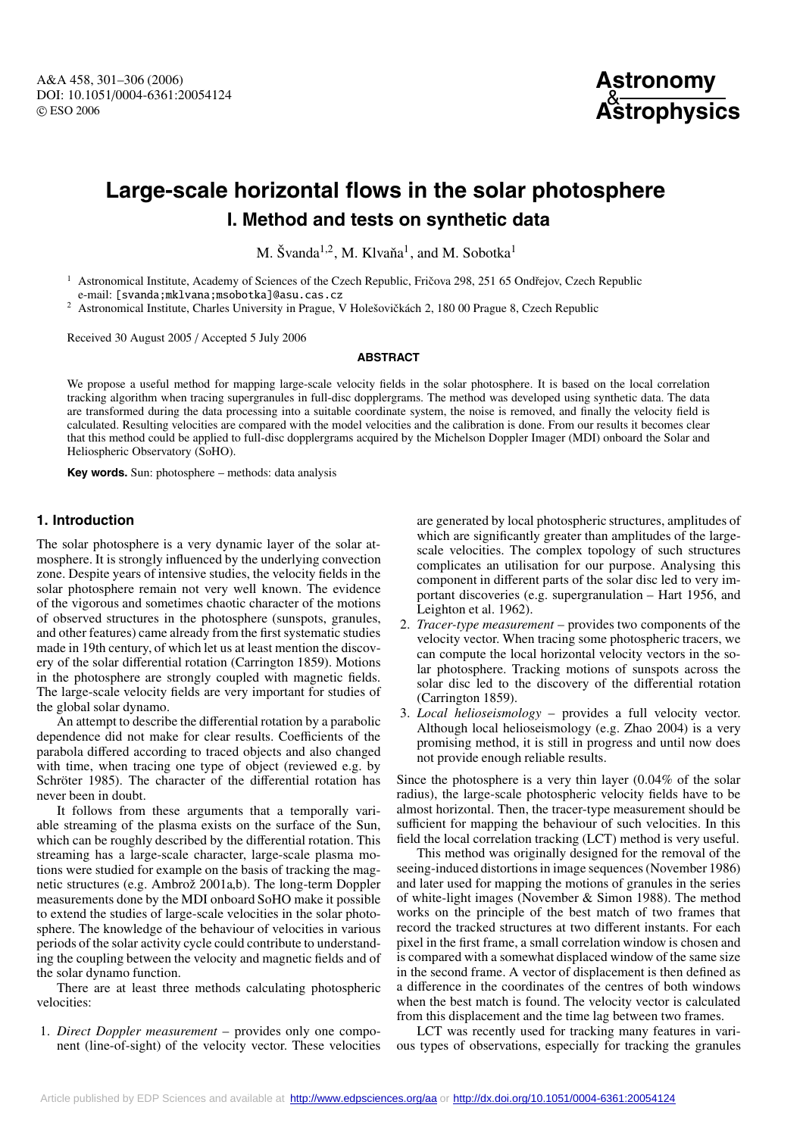A&A 458, 301–306 (2006) DOI: 10.1051/0004-6361:20054124 c ESO 2006



# **Large-scale horizontal flows in the solar photosphere I. Method and tests on synthetic data**

M. Švanda<sup>1,2</sup>, M. Klvaňa<sup>1</sup>, and M. Sobotka<sup>1</sup>

Astronomical Institute, Academy of Sciences of the Czech Republic, Fričova 298, 251 65 Ondřejov, Czech Republic e-mail: [svanda;mklvana;msobotka]@asu.cas.cz

Astronomical Institute, Charles University in Prague, V Holešovičkách 2, 180 00 Prague 8, Czech Republic

Received 30 August 2005 / Accepted 5 July 2006

### **ABSTRACT**

We propose a useful method for mapping large-scale velocity fields in the solar photosphere. It is based on the local correlation tracking algorithm when tracing supergranules in full-disc dopplergrams. The method was developed using synthetic data. The data are transformed during the data processing into a suitable coordinate system, the noise is removed, and finally the velocity field is calculated. Resulting velocities are compared with the model velocities and the calibration is done. From our results it becomes clear that this method could be applied to full-disc dopplergrams acquired by the Michelson Doppler Imager (MDI) onboard the Solar and Heliospheric Observatory (SoHO).

**Key words.** Sun: photosphere – methods: data analysis

# **1. Introduction**

The solar photosphere is a very dynamic layer of the solar atmosphere. It is strongly influenced by the underlying convection zone. Despite years of intensive studies, the velocity fields in the solar photosphere remain not very well known. The evidence of the vigorous and sometimes chaotic character of the motions of observed structures in the photosphere (sunspots, granules, and other features) came already from the first systematic studies made in 19th century, of which let us at least mention the discovery of the solar differential rotation (Carrington 1859). Motions in the photosphere are strongly coupled with magnetic fields. The large-scale velocity fields are very important for studies of the global solar dynamo.

An attempt to describe the differential rotation by a parabolic dependence did not make for clear results. Coefficients of the parabola differed according to traced objects and also changed with time, when tracing one type of object (reviewed e.g. by Schröter 1985). The character of the differential rotation has never been in doubt.

It follows from these arguments that a temporally variable streaming of the plasma exists on the surface of the Sun, which can be roughly described by the differential rotation. This streaming has a large-scale character, large-scale plasma motions were studied for example on the basis of tracking the magnetic structures (e.g. Ambrož 2001a,b). The long-term Doppler measurements done by the MDI onboard SoHO make it possible to extend the studies of large-scale velocities in the solar photosphere. The knowledge of the behaviour of velocities in various periods of the solar activity cycle could contribute to understanding the coupling between the velocity and magnetic fields and of the solar dynamo function.

There are at least three methods calculating photospheric velocities:

1. *Direct Doppler measurement* – provides only one component (line-of-sight) of the velocity vector. These velocities are generated by local photospheric structures, amplitudes of which are significantly greater than amplitudes of the largescale velocities. The complex topology of such structures complicates an utilisation for our purpose. Analysing this component in different parts of the solar disc led to very important discoveries (e.g. supergranulation – Hart 1956, and Leighton et al. 1962).

- 2. *Tracer-type measurement* provides two components of the velocity vector. When tracing some photospheric tracers, we can compute the local horizontal velocity vectors in the solar photosphere. Tracking motions of sunspots across the solar disc led to the discovery of the differential rotation (Carrington 1859).
- 3. *Local helioseismology* provides a full velocity vector. Although local helioseismology (e.g. Zhao 2004) is a very promising method, it is still in progress and until now does not provide enough reliable results.

Since the photosphere is a very thin layer (0.04% of the solar radius), the large-scale photospheric velocity fields have to be almost horizontal. Then, the tracer-type measurement should be sufficient for mapping the behaviour of such velocities. In this field the local correlation tracking (LCT) method is very useful.

This method was originally designed for the removal of the seeing-induced distortions in image sequences (November 1986) and later used for mapping the motions of granules in the series of white-light images (November & Simon 1988). The method works on the principle of the best match of two frames that record the tracked structures at two different instants. For each pixel in the first frame, a small correlation window is chosen and is compared with a somewhat displaced window of the same size in the second frame. A vector of displacement is then defined as a difference in the coordinates of the centres of both windows when the best match is found. The velocity vector is calculated from this displacement and the time lag between two frames.

LCT was recently used for tracking many features in various types of observations, especially for tracking the granules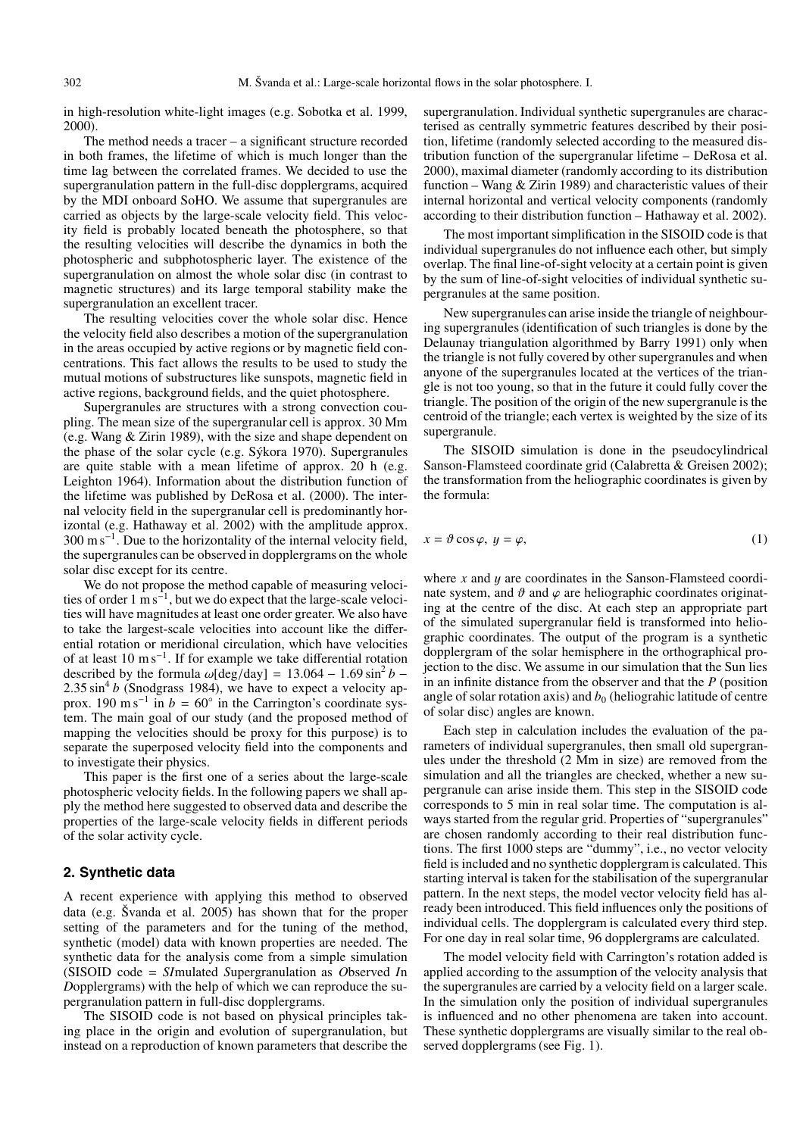in high-resolution white-light images (e.g. Sobotka et al. 1999, 2000).

The method needs a tracer – a significant structure recorded in both frames, the lifetime of which is much longer than the time lag between the correlated frames. We decided to use the supergranulation pattern in the full-disc dopplergrams, acquired by the MDI onboard SoHO. We assume that supergranules are carried as objects by the large-scale velocity field. This velocity field is probably located beneath the photosphere, so that the resulting velocities will describe the dynamics in both the photospheric and subphotospheric layer. The existence of the supergranulation on almost the whole solar disc (in contrast to magnetic structures) and its large temporal stability make the supergranulation an excellent tracer.

The resulting velocities cover the whole solar disc. Hence the velocity field also describes a motion of the supergranulation in the areas occupied by active regions or by magnetic field concentrations. This fact allows the results to be used to study the mutual motions of substructures like sunspots, magnetic field in active regions, background fields, and the quiet photosphere.

Supergranules are structures with a strong convection coupling. The mean size of the supergranular cell is approx. 30 Mm (e.g. Wang & Zirin 1989), with the size and shape dependent on the phase of the solar cycle (e.g. Sýkora 1970). Supergranules are quite stable with a mean lifetime of approx. 20 h (e.g. Leighton 1964). Information about the distribution function of the lifetime was published by DeRosa et al. (2000). The internal velocity field in the supergranular cell is predominantly horizontal (e.g. Hathaway et al. 2002) with the amplitude approx. 300 m s<sup>-1</sup>. Due to the horizontality of the internal velocity field, the supergranules can be observed in dopplergrams on the whole solar disc except for its centre.

We do not propose the method capable of measuring velocities of order 1 m s−1, but we do expect that the large-scale velocities will have magnitudes at least one order greater. We also have to take the largest-scale velocities into account like the differential rotation or meridional circulation, which have velocities of at least 10 m s−1. If for example we take differential rotation described by the formula  $\omega$ [deg/day] = 13.064 – 1.69 sin<sup>2</sup> *b* –  $2.35 \sin^4 b$  (Snodgrass 1984), we have to expect a velocity approx. 190 m s<sup>-1</sup> in  $b = 60°$  in the Carrington's coordinate system. The main goal of our study (and the proposed method of mapping the velocities should be proxy for this purpose) is to separate the superposed velocity field into the components and to investigate their physics.

This paper is the first one of a series about the large-scale photospheric velocity fields. In the following papers we shall apply the method here suggested to observed data and describe the properties of the large-scale velocity fields in different periods of the solar activity cycle.

# **2. Synthetic data**

A recent experience with applying this method to observed data (e.g. Švanda et al. 2005) has shown that for the proper setting of the parameters and for the tuning of the method, synthetic (model) data with known properties are needed. The synthetic data for the analysis come from a simple simulation (SISOID code = *SI*mulated *S*upergranulation as *O*bserved *I*n *D*opplergrams) with the help of which we can reproduce the supergranulation pattern in full-disc dopplergrams.

The SISOID code is not based on physical principles taking place in the origin and evolution of supergranulation, but instead on a reproduction of known parameters that describe the supergranulation. Individual synthetic supergranules are characterised as centrally symmetric features described by their position, lifetime (randomly selected according to the measured distribution function of the supergranular lifetime – DeRosa et al. 2000), maximal diameter (randomly according to its distribution function – Wang & Zirin 1989) and characteristic values of their internal horizontal and vertical velocity components (randomly according to their distribution function – Hathaway et al. 2002).

The most important simplification in the SISOID code is that individual supergranules do not influence each other, but simply overlap. The final line-of-sight velocity at a certain point is given by the sum of line-of-sight velocities of individual synthetic supergranules at the same position.

New supergranules can arise inside the triangle of neighbouring supergranules (identification of such triangles is done by the Delaunay triangulation algorithmed by Barry 1991) only when the triangle is not fully covered by other supergranules and when anyone of the supergranules located at the vertices of the triangle is not too young, so that in the future it could fully cover the triangle. The position of the origin of the new supergranule is the centroid of the triangle; each vertex is weighted by the size of its supergranule.

The SISOID simulation is done in the pseudocylindrical Sanson-Flamsteed coordinate grid (Calabretta & Greisen 2002); the transformation from the heliographic coordinates is given by the formula:

$$
x = \vartheta \cos \varphi, \ y = \varphi,\tag{1}
$$

where *x* and *y* are coordinates in the Sanson-Flamsteed coordinate system, and  $\vartheta$  and  $\varphi$  are heliographic coordinates originating at the centre of the disc. At each step an appropriate part of the simulated supergranular field is transformed into heliographic coordinates. The output of the program is a synthetic dopplergram of the solar hemisphere in the orthographical projection to the disc. We assume in our simulation that the Sun lies in an infinite distance from the observer and that the *P* (position angle of solar rotation axis) and  $b<sub>0</sub>$  (heliograhic latitude of centre of solar disc) angles are known.

Each step in calculation includes the evaluation of the parameters of individual supergranules, then small old supergranules under the threshold (2 Mm in size) are removed from the simulation and all the triangles are checked, whether a new supergranule can arise inside them. This step in the SISOID code corresponds to 5 min in real solar time. The computation is always started from the regular grid. Properties of "supergranules" are chosen randomly according to their real distribution functions. The first 1000 steps are "dummy", i.e., no vector velocity field is included and no synthetic dopplergram is calculated. This starting interval is taken for the stabilisation of the supergranular pattern. In the next steps, the model vector velocity field has already been introduced. This field influences only the positions of individual cells. The dopplergram is calculated every third step. For one day in real solar time, 96 dopplergrams are calculated.

The model velocity field with Carrington's rotation added is applied according to the assumption of the velocity analysis that the supergranules are carried by a velocity field on a larger scale. In the simulation only the position of individual supergranules is influenced and no other phenomena are taken into account. These synthetic dopplergrams are visually similar to the real observed dopplergrams (see Fig. 1).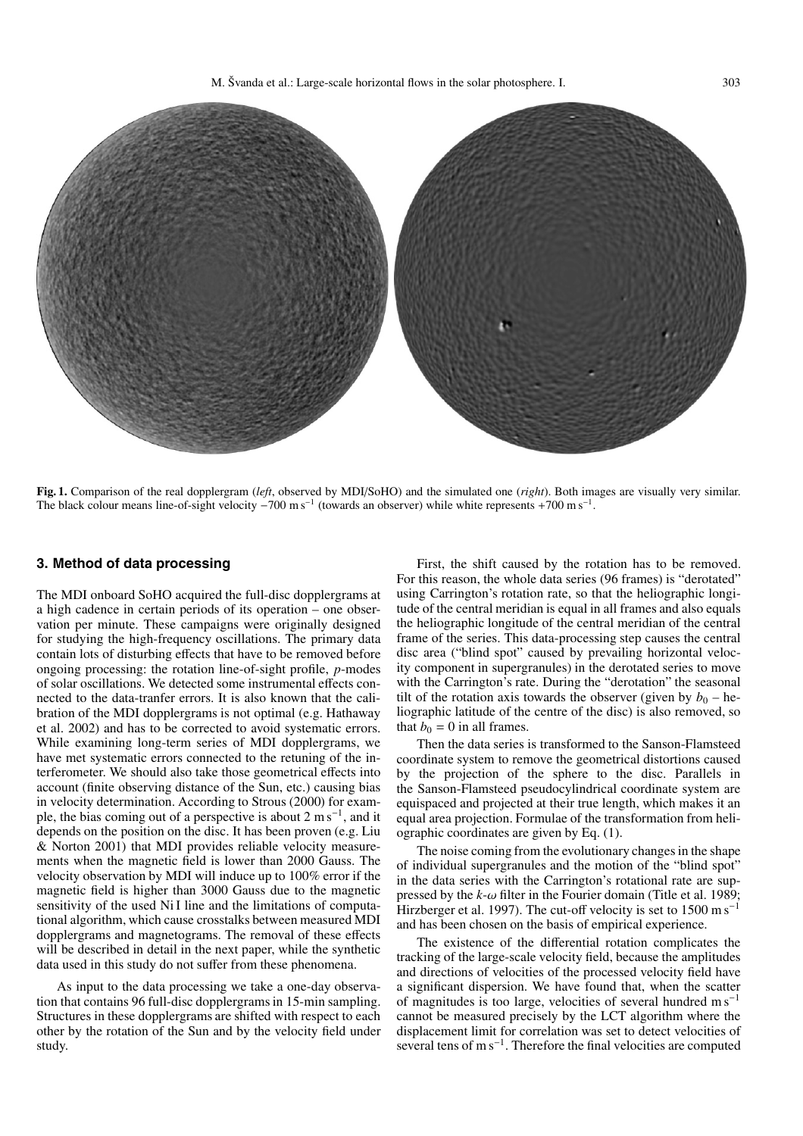

**Fig. 1.** Comparison of the real dopplergram (*left*, observed by MDI/SoHO) and the simulated one (*right*). Both images are visually very similar. The black colour means line-of-sight velocity  $-700 \text{ m s}^{-1}$  (towards an observer) while white represents +700 m s<sup>-1</sup>.

#### **3. Method of data processing**

The MDI onboard SoHO acquired the full-disc dopplergrams at a high cadence in certain periods of its operation – one observation per minute. These campaigns were originally designed for studying the high-frequency oscillations. The primary data contain lots of disturbing effects that have to be removed before ongoing processing: the rotation line-of-sight profile, *p*-modes of solar oscillations. We detected some instrumental effects connected to the data-tranfer errors. It is also known that the calibration of the MDI dopplergrams is not optimal (e.g. Hathaway et al. 2002) and has to be corrected to avoid systematic errors. While examining long-term series of MDI dopplergrams, we have met systematic errors connected to the retuning of the interferometer. We should also take those geometrical effects into account (finite observing distance of the Sun, etc.) causing bias in velocity determination. According to Strous (2000) for example, the bias coming out of a perspective is about  $2 \text{ m s}^{-1}$ , and it depends on the position on the disc. It has been proven (e.g. Liu & Norton 2001) that MDI provides reliable velocity measurements when the magnetic field is lower than 2000 Gauss. The velocity observation by MDI will induce up to 100% error if the magnetic field is higher than 3000 Gauss due to the magnetic sensitivity of the used Ni I line and the limitations of computational algorithm, which cause crosstalks between measured MDI dopplergrams and magnetograms. The removal of these effects will be described in detail in the next paper, while the synthetic data used in this study do not suffer from these phenomena.

As input to the data processing we take a one-day observation that contains 96 full-disc dopplergrams in 15-min sampling. Structures in these dopplergrams are shifted with respect to each other by the rotation of the Sun and by the velocity field under study.

First, the shift caused by the rotation has to be removed. For this reason, the whole data series (96 frames) is "derotated" using Carrington's rotation rate, so that the heliographic longitude of the central meridian is equal in all frames and also equals the heliographic longitude of the central meridian of the central frame of the series. This data-processing step causes the central disc area ("blind spot" caused by prevailing horizontal velocity component in supergranules) in the derotated series to move with the Carrington's rate. During the "derotation" the seasonal tilt of the rotation axis towards the observer (given by  $b_0$  – heliographic latitude of the centre of the disc) is also removed, so that  $b_0 = 0$  in all frames.

Then the data series is transformed to the Sanson-Flamsteed coordinate system to remove the geometrical distortions caused by the projection of the sphere to the disc. Parallels in the Sanson-Flamsteed pseudocylindrical coordinate system are equispaced and projected at their true length, which makes it an equal area projection. Formulae of the transformation from heliographic coordinates are given by Eq. (1).

The noise coming from the evolutionary changes in the shape of individual supergranules and the motion of the "blind spot" in the data series with the Carrington's rotational rate are suppressed by the  $k-\omega$  filter in the Fourier domain (Title et al. 1989; Hirzberger et al. 1997). The cut-off velocity is set to 1500  $\text{m s}^{-1}$ and has been chosen on the basis of empirical experience.

The existence of the differential rotation complicates the tracking of the large-scale velocity field, because the amplitudes and directions of velocities of the processed velocity field have a significant dispersion. We have found that, when the scatter of magnitudes is too large, velocities of several hundred  $\text{m s}^{-1}$ cannot be measured precisely by the LCT algorithm where the displacement limit for correlation was set to detect velocities of several tens of m s<sup>-1</sup>. Therefore the final velocities are computed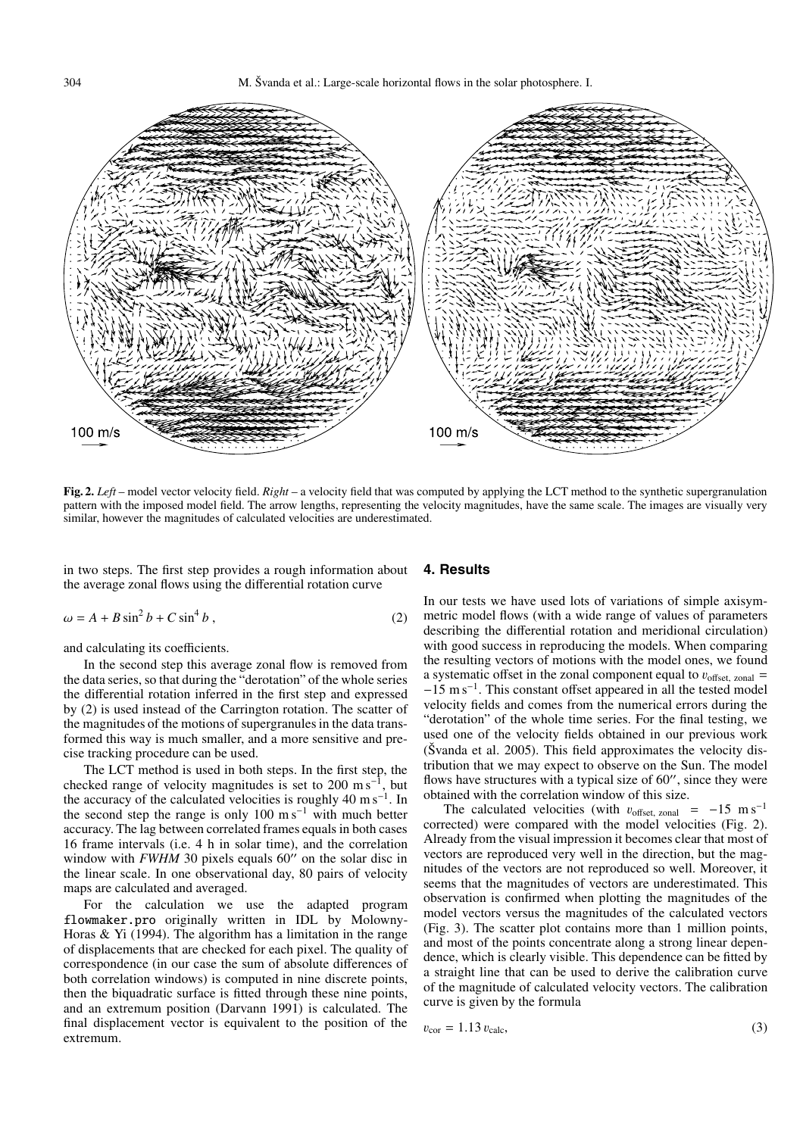304 M. Švanda et al.: Large-scale horizontal flows in the solar photosphere. I.



**Fig. 2.** *Left* – model vector velocity field. *Right* – a velocity field that was computed by applying the LCT method to the synthetic supergranulation pattern with the imposed model field. The arrow lengths, representing the velocity magnitudes, have the same scale. The images are visually very similar, however the magnitudes of calculated velocities are underestimated.

in two steps. The first step provides a rough information about the average zonal flows using the differential rotation curve

$$
\omega = A + B \sin^2 b + C \sin^4 b \,,\tag{2}
$$

and calculating its coefficients.

In the second step this average zonal flow is removed from the data series, so that during the "derotation" of the whole series the differential rotation inferred in the first step and expressed by (2) is used instead of the Carrington rotation. The scatter of the magnitudes of the motions of supergranules in the data transformed this way is much smaller, and a more sensitive and precise tracking procedure can be used.

The LCT method is used in both steps. In the first step, the checked range of velocity magnitudes is set to 200 m s<sup>-1</sup>, but the accuracy of the calculated velocities is roughly 40 m s<sup>-1</sup>. In the second step the range is only 100 m s<sup>−1</sup> with much better accuracy. The lag between correlated frames equals in both cases 16 frame intervals (i.e. 4 h in solar time), and the correlation window with *FWHM* 30 pixels equals 60" on the solar disc in the linear scale. In one observational day, 80 pairs of velocity maps are calculated and averaged.

For the calculation we use the adapted program flowmaker.pro originally written in IDL by Molowny-Horas & Yi (1994). The algorithm has a limitation in the range of displacements that are checked for each pixel. The quality of correspondence (in our case the sum of absolute differences of both correlation windows) is computed in nine discrete points, then the biquadratic surface is fitted through these nine points, and an extremum position (Darvann 1991) is calculated. The final displacement vector is equivalent to the position of the extremum.

# **4. Results**

In our tests we have used lots of variations of simple axisymmetric model flows (with a wide range of values of parameters describing the differential rotation and meridional circulation) with good success in reproducing the models. When comparing the resulting vectors of motions with the model ones, we found a systematic offset in the zonal component equal to  $v_{\text{offset, zonal}} =$ −15 m s−1. This constant offset appeared in all the tested model velocity fields and comes from the numerical errors during the "derotation" of the whole time series. For the final testing, we used one of the velocity fields obtained in our previous work (Švanda et al. 2005). This field approximates the velocity distribution that we may expect to observe on the Sun. The model flows have structures with a typical size of  $60''$ , since they were obtained with the correlation window of this size.

The calculated velocities (with  $v_{\text{offset, zonal}}$  = −15 m s<sup>-1</sup> corrected) were compared with the model velocities (Fig. 2). Already from the visual impression it becomes clear that most of vectors are reproduced very well in the direction, but the magnitudes of the vectors are not reproduced so well. Moreover, it seems that the magnitudes of vectors are underestimated. This observation is confirmed when plotting the magnitudes of the model vectors versus the magnitudes of the calculated vectors (Fig. 3). The scatter plot contains more than 1 million points, and most of the points concentrate along a strong linear dependence, which is clearly visible. This dependence can be fitted by a straight line that can be used to derive the calibration curve of the magnitude of calculated velocity vectors. The calibration curve is given by the formula

$$
v_{\rm cor} = 1.13 v_{\rm calc},\tag{3}
$$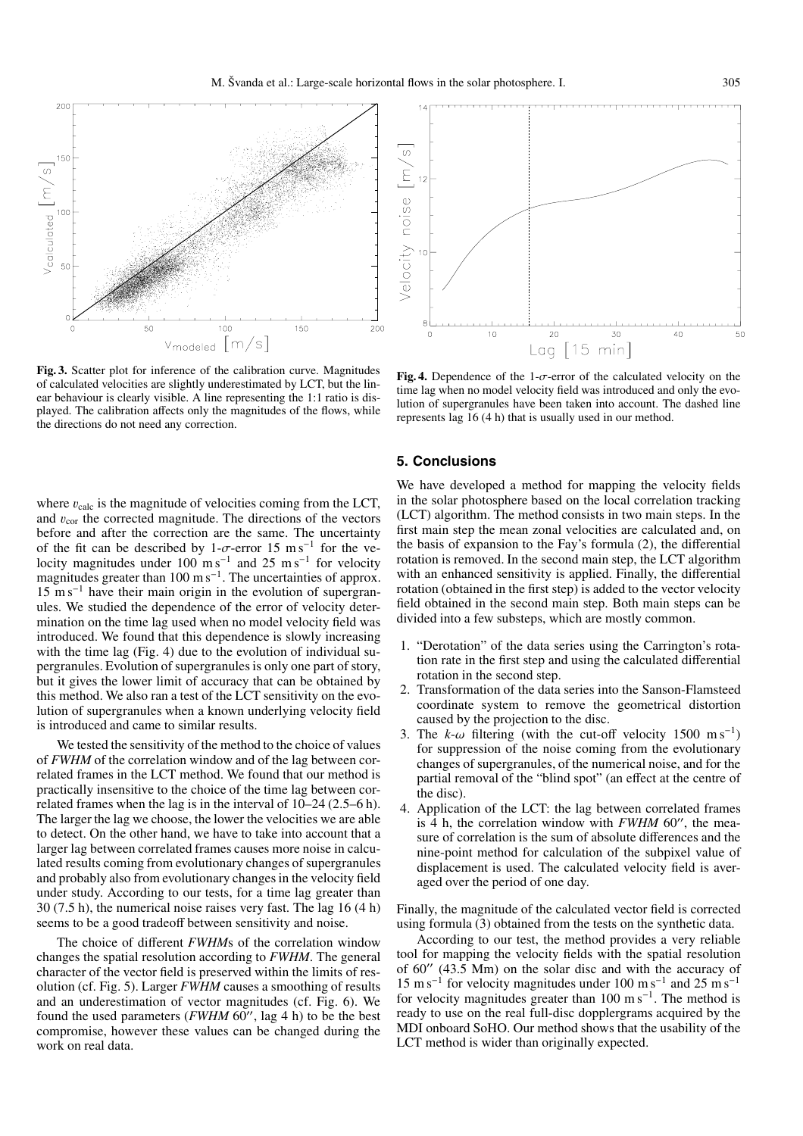

**200** 

of calculated velocities are slightly underestimated by LCT, but the linear behaviour is clearly visible. A line representing the 1:1 ratio is displayed. The calibration affects only the magnitudes of the flows, while the directions do not need any correction.

where  $v_{\text{calc}}$  is the magnitude of velocities coming from the LCT, and  $v_{\rm cor}$  the corrected magnitude. The directions of the vectors before and after the correction are the same. The uncertainty of the fit can be described by 1- $\sigma$ -error 15 m s<sup>-1</sup> for the velocity magnitudes under  $100 \text{ m s}^{-1}$  and  $25 \text{ m s}^{-1}$  for velocity magnitudes greater than 100 m s<sup>-1</sup>. The uncertainties of approx.  $15 \text{ m s}^{-1}$  have their main origin in the evolution of supergranules. We studied the dependence of the error of velocity determination on the time lag used when no model velocity field was introduced. We found that this dependence is slowly increasing with the time lag (Fig. 4) due to the evolution of individual supergranules. Evolution of supergranules is only one part of story, but it gives the lower limit of accuracy that can be obtained by this method. We also ran a test of the LCT sensitivity on the evolution of supergranules when a known underlying velocity field is introduced and came to similar results.

We tested the sensitivity of the method to the choice of values of *FWHM* of the correlation window and of the lag between correlated frames in the LCT method. We found that our method is practically insensitive to the choice of the time lag between correlated frames when the lag is in the interval of 10–24 (2.5–6 h). The larger the lag we choose, the lower the velocities we are able to detect. On the other hand, we have to take into account that a larger lag between correlated frames causes more noise in calculated results coming from evolutionary changes of supergranules and probably also from evolutionary changes in the velocity field under study. According to our tests, for a time lag greater than 30 (7.5 h), the numerical noise raises very fast. The lag 16 (4 h) seems to be a good tradeoff between sensitivity and noise.

The choice of different *FWHM*s of the correlation window changes the spatial resolution according to *FWHM*. The general character of the vector field is preserved within the limits of resolution (cf. Fig. 5). Larger *FWHM* causes a smoothing of results and an underestimation of vector magnitudes (cf. Fig. 6). We found the used parameters (*FWHM* 60", lag 4 h) to be the best compromise, however these values can be changed during the work on real data.



**Fig. 4.** Dependence of the 1-σ-error of the calculated velocity on the time lag when no model velocity field was introduced and only the evolution of supergranules have been taken into account. The dashed line represents lag 16 (4 h) that is usually used in our method.

#### **5. Conclusions**

We have developed a method for mapping the velocity fields in the solar photosphere based on the local correlation tracking (LCT) algorithm. The method consists in two main steps. In the first main step the mean zonal velocities are calculated and, on the basis of expansion to the Fay's formula (2), the differential rotation is removed. In the second main step, the LCT algorithm with an enhanced sensitivity is applied. Finally, the differential rotation (obtained in the first step) is added to the vector velocity field obtained in the second main step. Both main steps can be divided into a few substeps, which are mostly common.

- 1. "Derotation" of the data series using the Carrington's rotation rate in the first step and using the calculated differential rotation in the second step.
- 2. Transformation of the data series into the Sanson-Flamsteed coordinate system to remove the geometrical distortion caused by the projection to the disc.
- The  $k-\omega$  filtering (with the cut-off velocity 1500 m s<sup>-1</sup>) for suppression of the noise coming from the evolutionary changes of supergranules, of the numerical noise, and for the partial removal of the "blind spot" (an effect at the centre of the disc).
- 4. Application of the LCT: the lag between correlated frames is 4 h, the correlation window with  $FWHM$  60", the measure of correlation is the sum of absolute differences and the nine-point method for calculation of the subpixel value of displacement is used. The calculated velocity field is averaged over the period of one day.

Finally, the magnitude of the calculated vector field is corrected using formula (3) obtained from the tests on the synthetic data.

According to our test, the method provides a very reliable tool for mapping the velocity fields with the spatial resolution of  $60''$  (43.5 Mm) on the solar disc and with the accuracy of  $15 \text{ m s}^{-1}$  for velocity magnitudes under 100 m s<sup>-1</sup> and 25 m s<sup>-1</sup> for velocity magnitudes greater than 100 m s<sup>-1</sup>. The method is ready to use on the real full-disc dopplergrams acquired by the MDI onboard SoHO. Our method shows that the usability of the LCT method is wider than originally expected.